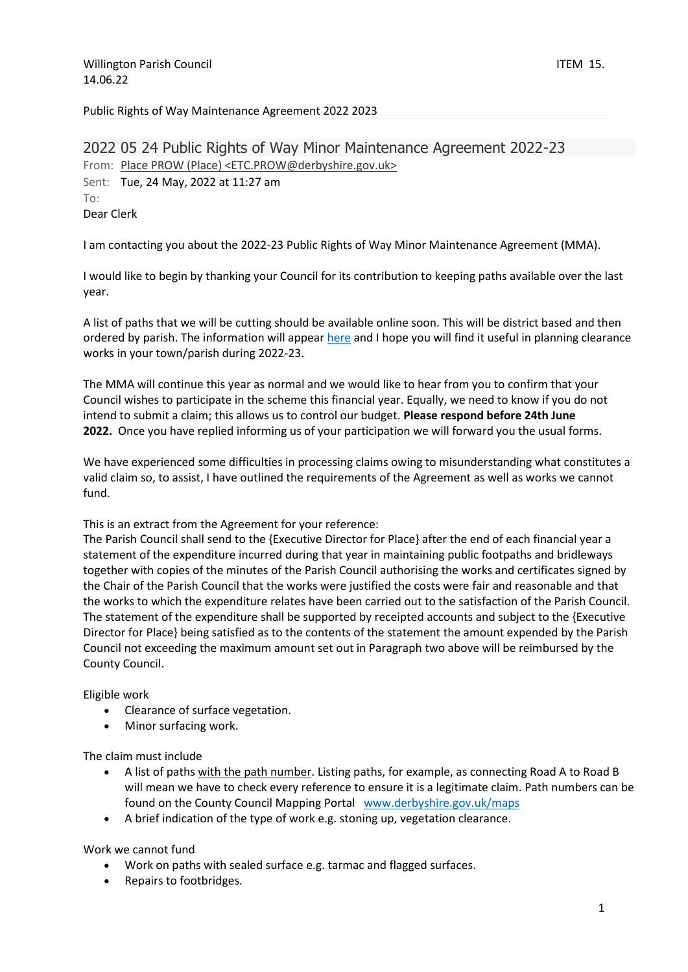## Public Rights of Way Maintenance Agreement 2022 2023

2022 05 24 Public Rights of Way Minor Maintenance Agreement 2022-23 From: Place PROW [\(Place\) <ETC.PROW@derbyshire.gov.uk>](javascript:void(0);) Sent: Tue, 24 May, 2022 at 11:27 am To: Dear Clerk

I am contacting you about the 2022-23 Public Rights of Way Minor Maintenance Agreement (MMA).

I would like to begin by thanking your Council for its contribution to keeping paths available over the last year.

A list of paths that we will be cutting should be available online soon. This will be district based and then ordered by parish. The information will appear [here](https://www.derbyshire.gov.uk/leisure/countryside/access/rights-of-way/scheduled-maintenance-programme/scheduled-maintenance-programme.aspx) and I hope you will find it useful in planning clearance works in your town/parish during 2022-23.

The MMA will continue this year as normal and we would like to hear from you to confirm that your Council wishes to participate in the scheme this financial year. Equally, we need to know if you do not intend to submit a claim; this allows us to control our budget. **Please respond before 24th June 2022.** Once you have replied informing us of your participation we will forward you the usual forms.

We have experienced some difficulties in processing claims owing to misunderstanding what constitutes a valid claim so, to assist, I have outlined the requirements of the Agreement as well as works we cannot fund.

This is an extract from the Agreement for your reference:

The Parish Council shall send to the {Executive Director for Place} after the end of each financial year a statement of the expenditure incurred during that year in maintaining public footpaths and bridleways together with copies of the minutes of the Parish Council authorising the works and certificates signed by the Chair of the Parish Council that the works were justified the costs were fair and reasonable and that the works to which the expenditure relates have been carried out to the satisfaction of the Parish Council. The statement of the expenditure shall be supported by receipted accounts and subject to the {Executive Director for Place} being satisfied as to the contents of the statement the amount expended by the Parish Council not exceeding the maximum amount set out in Paragraph two above will be reimbursed by the County Council.

Eligible work

- Clearance of surface vegetation.
- Minor surfacing work.

The claim must include

- A list of paths with the path number. Listing paths, for example, as connecting Road A to Road B will mean we have to check every reference to ensure it is a legitimate claim. Path numbers can be found on the County Council Mapping Portal [www.derbyshire.gov.uk/maps](http://www.derbyshire.gov.uk/maps)
- A brief indication of the type of work e.g. stoning up, vegetation clearance.

Work we cannot fund

- Work on paths with sealed surface e.g. tarmac and flagged surfaces.
- Repairs to footbridges.